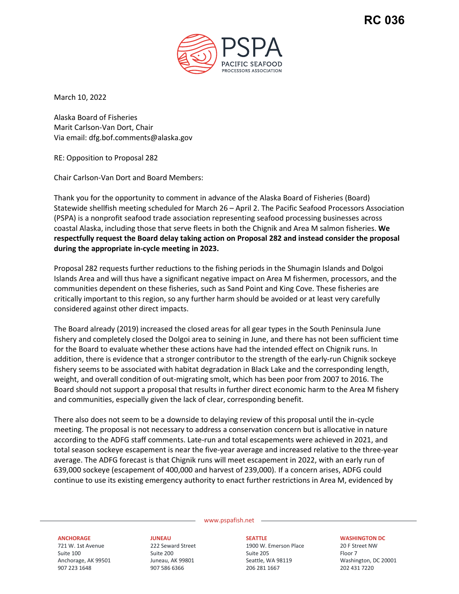

March 10, 2022

Alaska Board of Fisheries Marit Carlson-Van Dort, Chair Via email: dfg.bof.comments@alaska.gov

RE: Opposition to Proposal 282

Chair Carlson-Van Dort and Board Members:

Thank you for the opportunity to comment in advance of the Alaska Board of Fisheries (Board) Statewide shellfish meeting scheduled for March 26 – April 2. The Pacific Seafood Processors Association (PSPA) is a nonprofit seafood trade association representing seafood processing businesses across coastal Alaska, including those that serve fleets in both the Chignik and Area M salmon fisheries. **We respectfully request the Board delay taking action on Proposal 282 and instead consider the proposal during the appropriate in-cycle meeting in 2023.** 

Proposal 282 requests further reductions to the fishing periods in the Shumagin Islands and Dolgoi Islands Area and will thus have a significant negative impact on Area M fishermen, processors, and the communities dependent on these fisheries, such as Sand Point and King Cove. These fisheries are critically important to this region, so any further harm should be avoided or at least very carefully considered against other direct impacts.

The Board already (2019) increased the closed areas for all gear types in the South Peninsula June fishery and completely closed the Dolgoi area to seining in June, and there has not been sufficient time for the Board to evaluate whether these actions have had the intended effect on Chignik runs. In addition, there is evidence that a stronger contributor to the strength of the early-run Chignik sockeye fishery seems to be associated with habitat degradation in Black Lake and the corresponding length, weight, and overall condition of out-migrating smolt, which has been poor from 2007 to 2016. The Board should not support a proposal that results in further direct economic harm to the Area M fishery and communities, especially given the lack of clear, corresponding benefit.

There also does not seem to be a downside to delaying review of this proposal until the in-cycle meeting. The proposal is not necessary to address a conservation concern but is allocative in nature according to the ADFG staff comments. Late-run and total escapements were achieved in 2021, and total season sockeye escapement is near the five-year average and increased relative to the three-year average. The ADFG forecast is that Chignik runs will meet escapement in 2022, with an early run of 639,000 sockeye (escapement of 400,000 and harvest of 239,000). If a concern arises, ADFG could continue to use its existing emergency authority to enact further restrictions in Area M, evidenced by

www.pspafish.net

## **ANCHORAGE**

721 W. 1st Avenue Suite 100 Anchorage, AK 99501 907 223 1648

**JUNEAU** 222 Seward Street Suite 200 Juneau, AK 99801 907 586 6366

**SEATTLE** 1900 W. Emerson Place Suite 205 Seattle, WA 98119 206 281 1667

## **WASHINGTON DC**

20 F Street NW Floor 7 Washington, DC 20001 202 431 7220